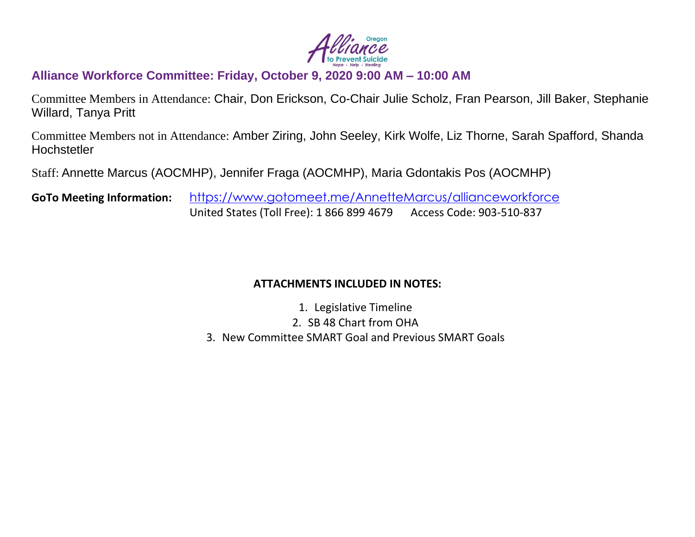

# **Alliance Workforce Committee: Friday, October 9, 2020 9:00 AM – 10:00 AM**

Committee Members in Attendance: Chair, Don Erickson, Co-Chair Julie Scholz, Fran Pearson, Jill Baker, Stephanie Willard, Tanya Pritt

Committee Members not in Attendance: Amber Ziring, John Seeley, Kirk Wolfe, Liz Thorne, Sarah Spafford, Shanda **Hochstetler** 

Staff: Annette Marcus (AOCMHP), Jennifer Fraga (AOCMHP), Maria Gdontakis Pos (AOCMHP)

**GoTo Meeting Information:** <https://www.gotomeet.me/AnnetteMarcus/allianceworkforce> United States (Toll Free): 1 866 899 4679 Access Code: 903-510-837

### **ATTACHMENTS INCLUDED IN NOTES:**

- 1. Legislative Timeline
- 2. SB 48 Chart from OHA
- 3. New Committee SMART Goal and Previous SMART Goals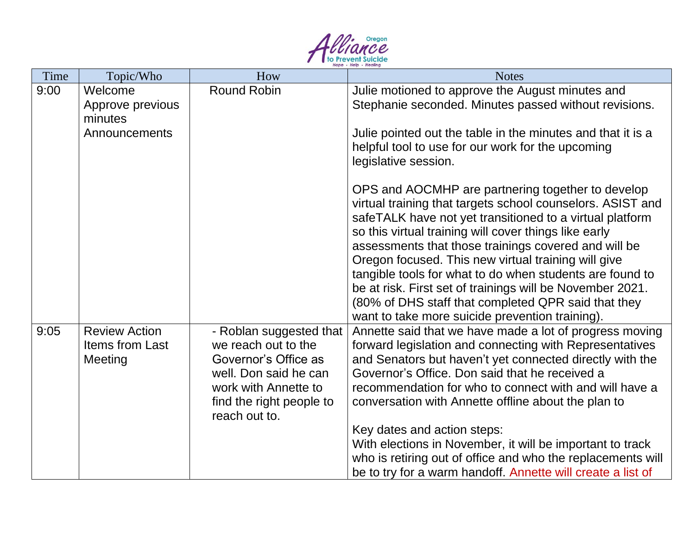

| Time | Topic/Who                                               | How                                                                                                                                                                  | <b>Notes</b>                                                                                                                                                                                                                                                                                                                                                                                                                                                                                                                                                                                                                                                                                                                                                                                 |
|------|---------------------------------------------------------|----------------------------------------------------------------------------------------------------------------------------------------------------------------------|----------------------------------------------------------------------------------------------------------------------------------------------------------------------------------------------------------------------------------------------------------------------------------------------------------------------------------------------------------------------------------------------------------------------------------------------------------------------------------------------------------------------------------------------------------------------------------------------------------------------------------------------------------------------------------------------------------------------------------------------------------------------------------------------|
| 9:00 | Welcome<br>Approve previous<br>minutes<br>Announcements | <b>Round Robin</b>                                                                                                                                                   | Julie motioned to approve the August minutes and<br>Stephanie seconded. Minutes passed without revisions.<br>Julie pointed out the table in the minutes and that it is a<br>helpful tool to use for our work for the upcoming<br>legislative session.<br>OPS and AOCMHP are partnering together to develop<br>virtual training that targets school counselors. ASIST and<br>safeTALK have not yet transitioned to a virtual platform<br>so this virtual training will cover things like early<br>assessments that those trainings covered and will be<br>Oregon focused. This new virtual training will give<br>tangible tools for what to do when students are found to<br>be at risk. First set of trainings will be November 2021.<br>(80% of DHS staff that completed QPR said that they |
| 9:05 | <b>Review Action</b><br>Items from Last<br>Meeting      | - Roblan suggested that<br>we reach out to the<br>Governor's Office as<br>well. Don said he can<br>work with Annette to<br>find the right people to<br>reach out to. | want to take more suicide prevention training).<br>Annette said that we have made a lot of progress moving<br>forward legislation and connecting with Representatives<br>and Senators but haven't yet connected directly with the<br>Governor's Office. Don said that he received a<br>recommendation for who to connect with and will have a<br>conversation with Annette offline about the plan to<br>Key dates and action steps:<br>With elections in November, it will be important to track<br>who is retiring out of office and who the replacements will<br>be to try for a warm handoff. Annette will create a list of                                                                                                                                                               |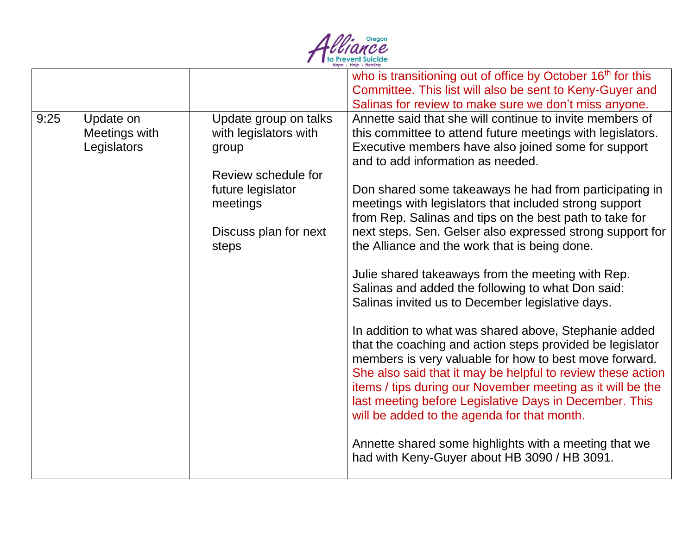

|      |                                           |                                                                                                                                                   | who is transitioning out of office by October 16 <sup>th</sup> for this<br>Committee. This list will also be sent to Keny-Guyer and<br>Salinas for review to make sure we don't miss anyone.                                                                                                                                                                                                                                                                                                                                                                                                                                                                                                                                                                                                                                                                                                                                                                                                                                                                                                                                                                                                                 |
|------|-------------------------------------------|---------------------------------------------------------------------------------------------------------------------------------------------------|--------------------------------------------------------------------------------------------------------------------------------------------------------------------------------------------------------------------------------------------------------------------------------------------------------------------------------------------------------------------------------------------------------------------------------------------------------------------------------------------------------------------------------------------------------------------------------------------------------------------------------------------------------------------------------------------------------------------------------------------------------------------------------------------------------------------------------------------------------------------------------------------------------------------------------------------------------------------------------------------------------------------------------------------------------------------------------------------------------------------------------------------------------------------------------------------------------------|
| 9:25 | Update on<br>Meetings with<br>Legislators | Update group on talks<br>with legislators with<br>group<br>Review schedule for<br>future legislator<br>meetings<br>Discuss plan for next<br>steps | Annette said that she will continue to invite members of<br>this committee to attend future meetings with legislators.<br>Executive members have also joined some for support<br>and to add information as needed.<br>Don shared some takeaways he had from participating in<br>meetings with legislators that included strong support<br>from Rep. Salinas and tips on the best path to take for<br>next steps. Sen. Gelser also expressed strong support for<br>the Alliance and the work that is being done.<br>Julie shared takeaways from the meeting with Rep.<br>Salinas and added the following to what Don said:<br>Salinas invited us to December legislative days.<br>In addition to what was shared above, Stephanie added<br>that the coaching and action steps provided be legislator<br>members is very valuable for how to best move forward.<br>She also said that it may be helpful to review these action<br>items / tips during our November meeting as it will be the<br>last meeting before Legislative Days in December. This<br>will be added to the agenda for that month.<br>Annette shared some highlights with a meeting that we<br>had with Keny-Guyer about HB 3090 / HB 3091. |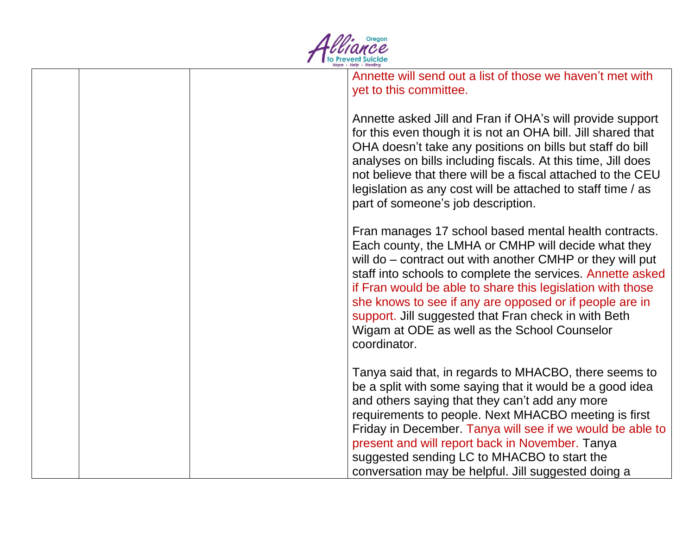

| Annette will send out a list of those we haven't met with<br>yet to this committee.                                                                                                                                                                                                                                                                                                                                                                                                      |
|------------------------------------------------------------------------------------------------------------------------------------------------------------------------------------------------------------------------------------------------------------------------------------------------------------------------------------------------------------------------------------------------------------------------------------------------------------------------------------------|
| Annette asked Jill and Fran if OHA's will provide support<br>for this even though it is not an OHA bill. Jill shared that<br>OHA doesn't take any positions on bills but staff do bill<br>analyses on bills including fiscals. At this time, Jill does<br>not believe that there will be a fiscal attached to the CEU<br>legislation as any cost will be attached to staff time / as<br>part of someone's job description.                                                               |
| Fran manages 17 school based mental health contracts.<br>Each county, the LMHA or CMHP will decide what they<br>will do – contract out with another CMHP or they will put<br>staff into schools to complete the services. Annette asked<br>if Fran would be able to share this legislation with those<br>she knows to see if any are opposed or if people are in<br>support. Jill suggested that Fran check in with Beth<br>Wigam at ODE as well as the School Counselor<br>coordinator. |
| Tanya said that, in regards to MHACBO, there seems to<br>be a split with some saying that it would be a good idea<br>and others saying that they can't add any more<br>requirements to people. Next MHACBO meeting is first<br>Friday in December. Tanya will see if we would be able to<br>present and will report back in November. Tanya<br>suggested sending LC to MHACBO to start the<br>conversation may be helpful. Jill suggested doing a                                        |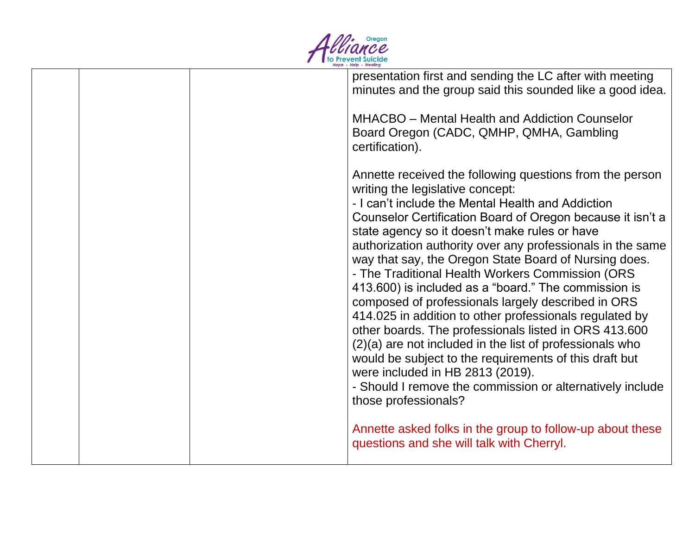

| presentation first and sending the LC after with meeting<br>minutes and the group said this sounded like a good idea.                                                                                                                                                                                                                                                                                                                                                                                                                                                                                                                                                                                                                                                                                                                                                                                                                                                                                                                    |
|------------------------------------------------------------------------------------------------------------------------------------------------------------------------------------------------------------------------------------------------------------------------------------------------------------------------------------------------------------------------------------------------------------------------------------------------------------------------------------------------------------------------------------------------------------------------------------------------------------------------------------------------------------------------------------------------------------------------------------------------------------------------------------------------------------------------------------------------------------------------------------------------------------------------------------------------------------------------------------------------------------------------------------------|
| <b>MHACBO</b> – Mental Health and Addiction Counselor<br>Board Oregon (CADC, QMHP, QMHA, Gambling<br>certification).                                                                                                                                                                                                                                                                                                                                                                                                                                                                                                                                                                                                                                                                                                                                                                                                                                                                                                                     |
| Annette received the following questions from the person<br>writing the legislative concept:<br>- I can't include the Mental Health and Addiction<br>Counselor Certification Board of Oregon because it isn't a<br>state agency so it doesn't make rules or have<br>authorization authority over any professionals in the same<br>way that say, the Oregon State Board of Nursing does.<br>- The Traditional Health Workers Commission (ORS<br>413.600) is included as a "board." The commission is<br>composed of professionals largely described in ORS<br>414.025 in addition to other professionals regulated by<br>other boards. The professionals listed in ORS 413.600<br>$(2)(a)$ are not included in the list of professionals who<br>would be subject to the requirements of this draft but<br>were included in HB 2813 (2019).<br>- Should I remove the commission or alternatively include<br>those professionals?<br>Annette asked folks in the group to follow-up about these<br>questions and she will talk with Cherryl. |
|                                                                                                                                                                                                                                                                                                                                                                                                                                                                                                                                                                                                                                                                                                                                                                                                                                                                                                                                                                                                                                          |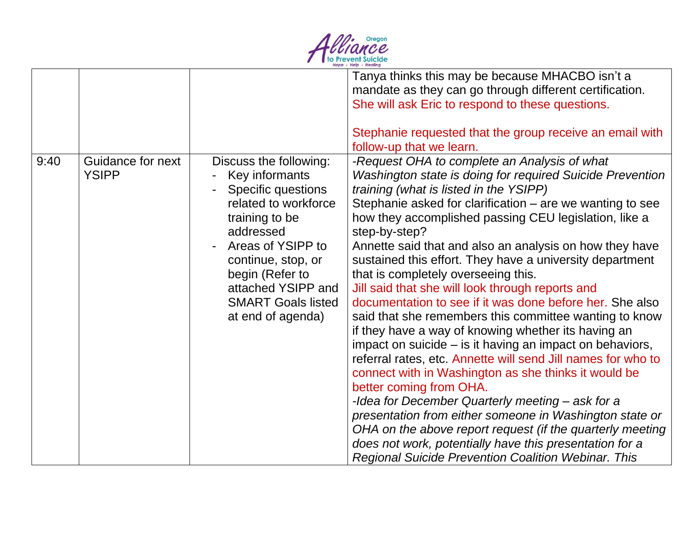

|      |                                   |                                                                                                                                                                                                                                                                    | Tanya thinks this may be because MHACBO isn't a<br>mandate as they can go through different certification.<br>She will ask Eric to respond to these questions.<br>Stephanie requested that the group receive an email with<br>follow-up that we learn.                                                                                                                                                                                                                                                                                                                                                                                                                                                                                                                                                                                                                                                                                                                                                                                                                                                                                                                                                        |
|------|-----------------------------------|--------------------------------------------------------------------------------------------------------------------------------------------------------------------------------------------------------------------------------------------------------------------|---------------------------------------------------------------------------------------------------------------------------------------------------------------------------------------------------------------------------------------------------------------------------------------------------------------------------------------------------------------------------------------------------------------------------------------------------------------------------------------------------------------------------------------------------------------------------------------------------------------------------------------------------------------------------------------------------------------------------------------------------------------------------------------------------------------------------------------------------------------------------------------------------------------------------------------------------------------------------------------------------------------------------------------------------------------------------------------------------------------------------------------------------------------------------------------------------------------|
| 9:40 | Guidance for next<br><b>YSIPP</b> | Discuss the following:<br>Key informants<br><b>Specific questions</b><br>related to workforce<br>training to be<br>addressed<br>Areas of YSIPP to<br>continue, stop, or<br>begin (Refer to<br>attached YSIPP and<br><b>SMART Goals listed</b><br>at end of agenda) | -Request OHA to complete an Analysis of what<br>Washington state is doing for required Suicide Prevention<br>training (what is listed in the YSIPP)<br>Stephanie asked for clarification – are we wanting to see<br>how they accomplished passing CEU legislation, like a<br>step-by-step?<br>Annette said that and also an analysis on how they have<br>sustained this effort. They have a university department<br>that is completely overseeing this.<br>Jill said that she will look through reports and<br>documentation to see if it was done before her. She also<br>said that she remembers this committee wanting to know<br>if they have a way of knowing whether its having an<br>impact on suicide – is it having an impact on behaviors,<br>referral rates, etc. Annette will send Jill names for who to<br>connect with in Washington as she thinks it would be<br>better coming from OHA.<br>-Idea for December Quarterly meeting - ask for a<br>presentation from either someone in Washington state or<br>OHA on the above report request (if the quarterly meeting<br>does not work, potentially have this presentation for a<br><b>Regional Suicide Prevention Coalition Webinar. This</b> |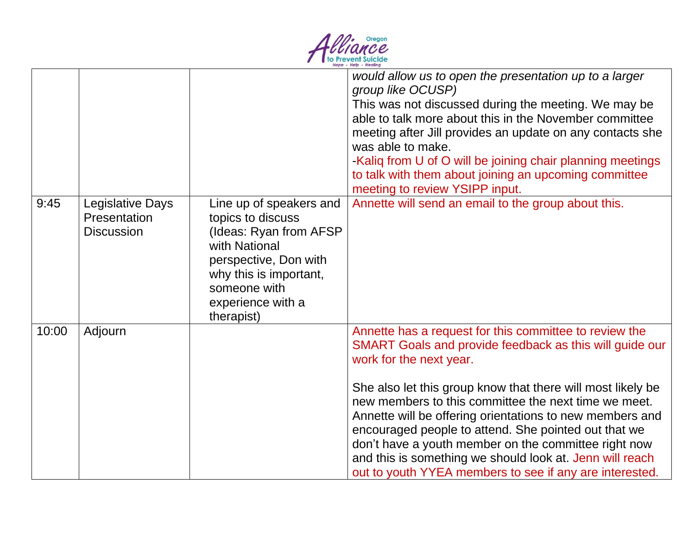

|       |                                                       |                                                                                                                                                                                                | would allow us to open the presentation up to a larger<br>group like OCUSP)<br>This was not discussed during the meeting. We may be<br>able to talk more about this in the November committee<br>meeting after Jill provides an update on any contacts she<br>was able to make.<br>-Kaliq from U of O will be joining chair planning meetings<br>to talk with them about joining an upcoming committee<br>meeting to review YSIPP input.                                                                                                                               |
|-------|-------------------------------------------------------|------------------------------------------------------------------------------------------------------------------------------------------------------------------------------------------------|------------------------------------------------------------------------------------------------------------------------------------------------------------------------------------------------------------------------------------------------------------------------------------------------------------------------------------------------------------------------------------------------------------------------------------------------------------------------------------------------------------------------------------------------------------------------|
| 9:45  | Legislative Days<br>Presentation<br><b>Discussion</b> | Line up of speakers and<br>topics to discuss<br>(Ideas: Ryan from AFSP)<br>with National<br>perspective, Don with<br>why this is important,<br>someone with<br>experience with a<br>therapist) | Annette will send an email to the group about this.                                                                                                                                                                                                                                                                                                                                                                                                                                                                                                                    |
| 10:00 | Adjourn                                               |                                                                                                                                                                                                | Annette has a request for this committee to review the<br>SMART Goals and provide feedback as this will guide our<br>work for the next year.<br>She also let this group know that there will most likely be<br>new members to this committee the next time we meet.<br>Annette will be offering orientations to new members and<br>encouraged people to attend. She pointed out that we<br>don't have a youth member on the committee right now<br>and this is something we should look at. Jenn will reach<br>out to youth YYEA members to see if any are interested. |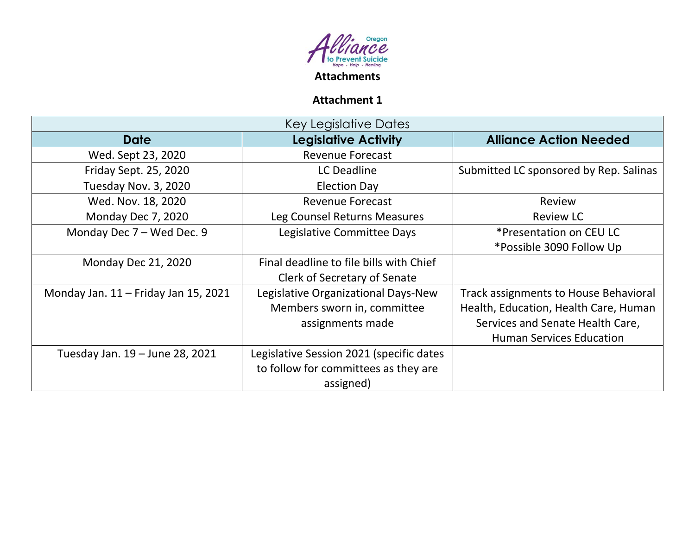

# **Attachment 1**

| <b>Key Legislative Dates</b>           |                                          |                                              |  |  |  |  |
|----------------------------------------|------------------------------------------|----------------------------------------------|--|--|--|--|
| <b>Date</b>                            | <b>Legislative Activity</b>              | <b>Alliance Action Needed</b>                |  |  |  |  |
| Wed. Sept 23, 2020                     | <b>Revenue Forecast</b>                  |                                              |  |  |  |  |
| Friday Sept. 25, 2020                  | <b>LC Deadline</b>                       | Submitted LC sponsored by Rep. Salinas       |  |  |  |  |
| Tuesday Nov. 3, 2020                   | <b>Election Day</b>                      |                                              |  |  |  |  |
| Wed. Nov. 18, 2020                     | <b>Revenue Forecast</b>                  | Review                                       |  |  |  |  |
| Monday Dec 7, 2020                     | Leg Counsel Returns Measures             | <b>Review LC</b>                             |  |  |  |  |
| Monday Dec 7 - Wed Dec. 9              | Legislative Committee Days               | *Presentation on CEU LC                      |  |  |  |  |
|                                        |                                          | *Possible 3090 Follow Up                     |  |  |  |  |
| <b>Monday Dec 21, 2020</b>             | Final deadline to file bills with Chief  |                                              |  |  |  |  |
|                                        | Clerk of Secretary of Senate             |                                              |  |  |  |  |
| Monday Jan. $11$ – Friday Jan 15, 2021 | Legislative Organizational Days-New      | <b>Track assignments to House Behavioral</b> |  |  |  |  |
|                                        | Members sworn in, committee              | Health, Education, Health Care, Human        |  |  |  |  |
|                                        | assignments made                         | Services and Senate Health Care,             |  |  |  |  |
|                                        |                                          | <b>Human Services Education</b>              |  |  |  |  |
| Tuesday Jan. 19 - June 28, 2021        | Legislative Session 2021 (specific dates |                                              |  |  |  |  |
|                                        | to follow for committees as they are     |                                              |  |  |  |  |
|                                        | assigned)                                |                                              |  |  |  |  |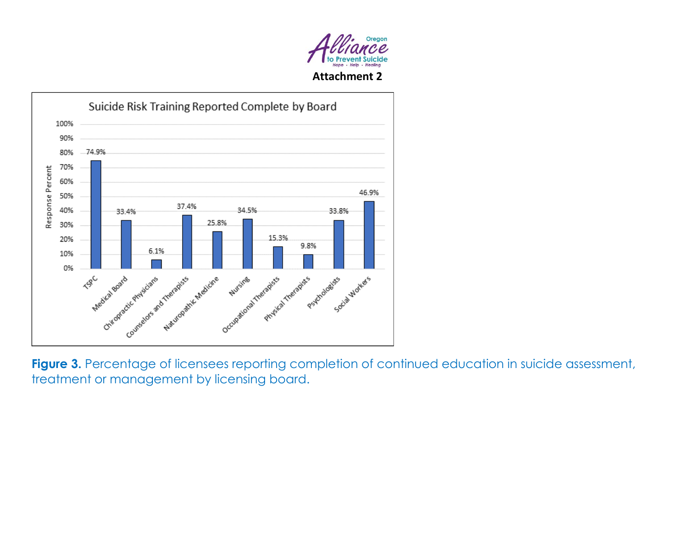



Figure 3. Percentage of licensees reporting completion of continued education in suicide assessment, treatment or management by licensing board.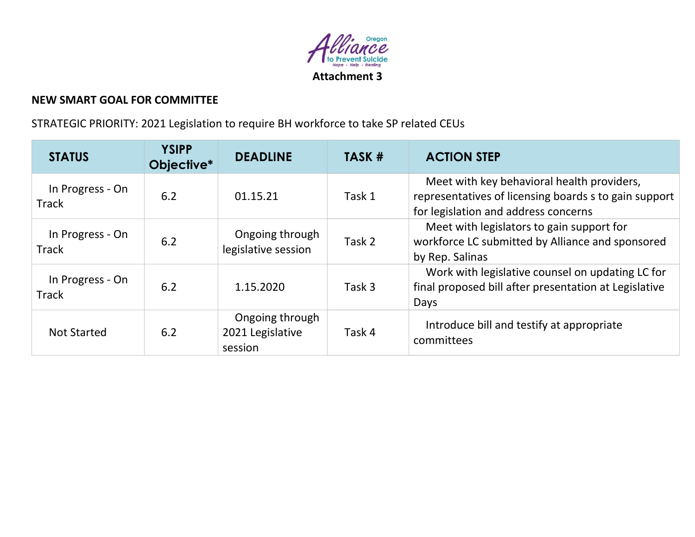

### **NEW SMART GOAL FOR COMMITTEE**

STRATEGIC PRIORITY: 2021 Legislation to require BH workforce to take SP related CEUs

| <b>STATUS</b>                    | <b>YSIPP</b><br>Objective* | <b>DEADLINE</b>                                | TASK # | <b>ACTION STEP</b>                                                                                                                          |
|----------------------------------|----------------------------|------------------------------------------------|--------|---------------------------------------------------------------------------------------------------------------------------------------------|
| In Progress - On<br><b>Track</b> | 6.2                        | 01.15.21                                       | Task 1 | Meet with key behavioral health providers,<br>representatives of licensing boards s to gain support<br>for legislation and address concerns |
| In Progress - On<br><b>Track</b> | 6.2                        | Ongoing through<br>legislative session         | Task 2 | Meet with legislators to gain support for<br>workforce LC submitted by Alliance and sponsored<br>by Rep. Salinas                            |
| In Progress - On<br><b>Track</b> | 6.2                        | 1.15.2020                                      | Task 3 | Work with legislative counsel on updating LC for<br>final proposed bill after presentation at Legislative<br>Days                           |
| <b>Not Started</b>               | 6.2                        | Ongoing through<br>2021 Legislative<br>session | Task 4 | Introduce bill and testify at appropriate<br>committees                                                                                     |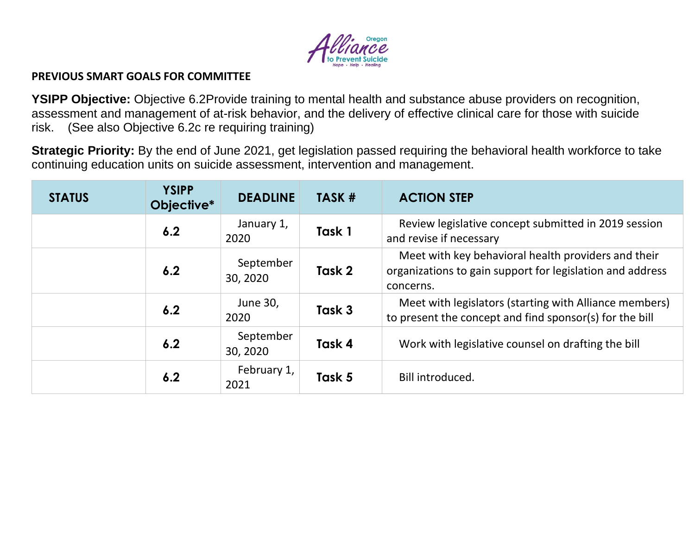

#### **PREVIOUS SMART GOALS FOR COMMITTEE**

**YSIPP Objective:** Objective 6.2Provide training to mental health and substance abuse providers on recognition, assessment and management of at-risk behavior, and the delivery of effective clinical care for those with suicide risk. (See also Objective 6.2c re requiring training)

**Strategic Priority:** By the end of June 2021, get legislation passed requiring the behavioral health workforce to take continuing education units on suicide assessment, intervention and management.

| <b>STATUS</b> | <b>YSIPP</b><br>Objective* | <b>DEADLINE</b>       | TASK # | <b>ACTION STEP</b>                                                                                                            |
|---------------|----------------------------|-----------------------|--------|-------------------------------------------------------------------------------------------------------------------------------|
|               | 6.2                        | January 1,<br>2020    | Task 1 | Review legislative concept submitted in 2019 session<br>and revise if necessary                                               |
|               | 6.2                        | September<br>30, 2020 | Task 2 | Meet with key behavioral health providers and their<br>organizations to gain support for legislation and address<br>concerns. |
|               | 6.2                        | June 30,<br>2020      | Task 3 | Meet with legislators (starting with Alliance members)<br>to present the concept and find sponsor(s) for the bill             |
|               | 6.2                        | September<br>30, 2020 | Task 4 | Work with legislative counsel on drafting the bill                                                                            |
|               | 6.2                        | February 1,<br>2021   | Task 5 | Bill introduced.                                                                                                              |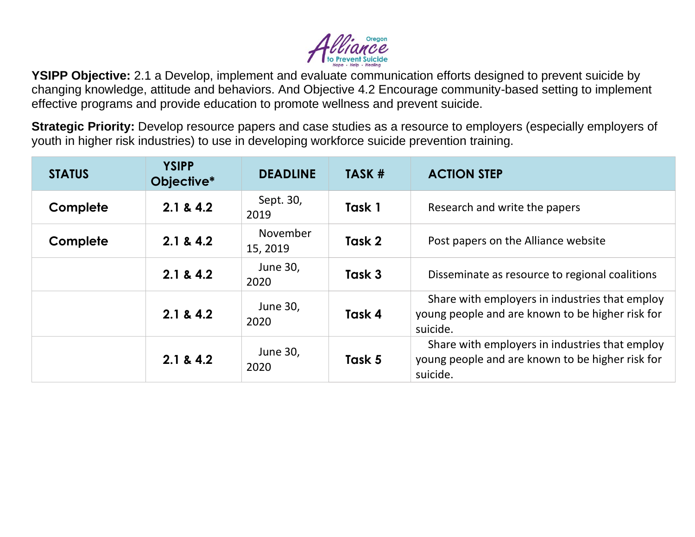

**YSIPP Objective:** 2.1 a Develop, implement and evaluate communication efforts designed to prevent suicide by changing knowledge, attitude and behaviors. And Objective 4.2 Encourage community-based setting to implement effective programs and provide education to promote wellness and prevent suicide.

**Strategic Priority:** Develop resource papers and case studies as a resource to employers (especially employers of youth in higher risk industries) to use in developing workforce suicide prevention training.

| <b>STATUS</b> | <b>YSIPP</b><br>Objective* | <b>DEADLINE</b>      | TASK # | <b>ACTION STEP</b>                                                                                             |
|---------------|----------------------------|----------------------|--------|----------------------------------------------------------------------------------------------------------------|
| Complete      | 2.1 & 4.2                  | Sept. 30,<br>2019    | Task 1 | Research and write the papers                                                                                  |
| Complete      | 2.1 & 4.2                  | November<br>15, 2019 | Task 2 | Post papers on the Alliance website                                                                            |
|               | 2.1 & 4.2                  | June 30,<br>2020     | Task 3 | Disseminate as resource to regional coalitions                                                                 |
|               | 2.1 & 4.2                  | June 30,<br>2020     | Task 4 | Share with employers in industries that employ<br>young people and are known to be higher risk for<br>suicide. |
|               | 2.1 & 4.2                  | June 30,<br>2020     | Task 5 | Share with employers in industries that employ<br>young people and are known to be higher risk for<br>suicide. |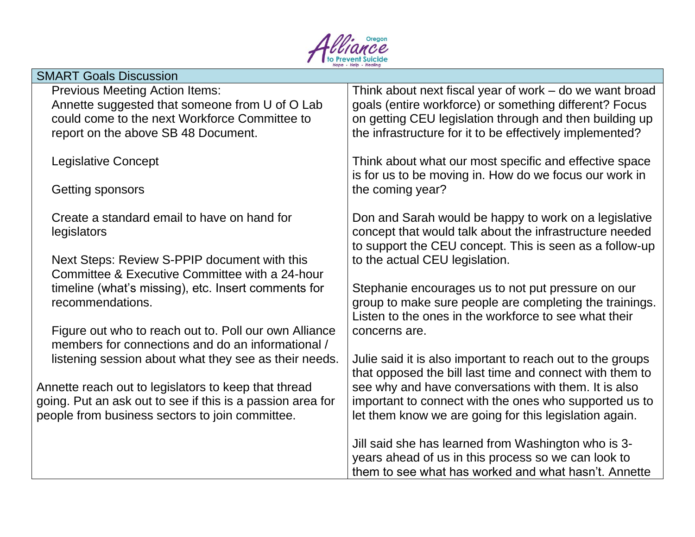

| <b>SMART Goals Discussion</b>                                                                                                                                                   |                                                                                                                                                                                                                                          |
|---------------------------------------------------------------------------------------------------------------------------------------------------------------------------------|------------------------------------------------------------------------------------------------------------------------------------------------------------------------------------------------------------------------------------------|
| <b>Previous Meeting Action Items:</b><br>Annette suggested that someone from U of O Lab<br>could come to the next Workforce Committee to<br>report on the above SB 48 Document. | Think about next fiscal year of work – do we want broad<br>goals (entire workforce) or something different? Focus<br>on getting CEU legislation through and then building up<br>the infrastructure for it to be effectively implemented? |
| <b>Legislative Concept</b>                                                                                                                                                      | Think about what our most specific and effective space<br>is for us to be moving in. How do we focus our work in                                                                                                                         |
| Getting sponsors                                                                                                                                                                | the coming year?                                                                                                                                                                                                                         |
| Create a standard email to have on hand for<br>legislators                                                                                                                      | Don and Sarah would be happy to work on a legislative<br>concept that would talk about the infrastructure needed<br>to support the CEU concept. This is seen as a follow-up                                                              |
| Next Steps: Review S-PPIP document with this<br>Committee & Executive Committee with a 24-hour                                                                                  | to the actual CEU legislation.                                                                                                                                                                                                           |
| timeline (what's missing), etc. Insert comments for<br>recommendations.                                                                                                         | Stephanie encourages us to not put pressure on our<br>group to make sure people are completing the trainings.<br>Listen to the ones in the workforce to see what their                                                                   |
| Figure out who to reach out to. Poll our own Alliance<br>members for connections and do an informational /                                                                      | concerns are.                                                                                                                                                                                                                            |
| listening session about what they see as their needs.                                                                                                                           | Julie said it is also important to reach out to the groups<br>that opposed the bill last time and connect with them to                                                                                                                   |
| Annette reach out to legislators to keep that thread<br>going. Put an ask out to see if this is a passion area for                                                              | see why and have conversations with them. It is also<br>important to connect with the ones who supported us to                                                                                                                           |
| people from business sectors to join committee.                                                                                                                                 | let them know we are going for this legislation again.                                                                                                                                                                                   |
|                                                                                                                                                                                 | Jill said she has learned from Washington who is 3-<br>years ahead of us in this process so we can look to                                                                                                                               |
|                                                                                                                                                                                 | them to see what has worked and what hasn't. Annette                                                                                                                                                                                     |